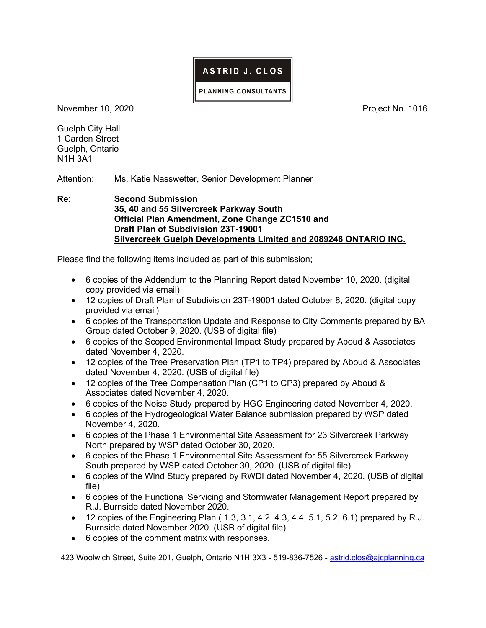## ASTRID J. CLOS

PLANNING CONSULTANTS

November 10, 2020 **Project No. 1016** 

Guelph City Hall 1 Carden Street Guelph, Ontario N1H 3A1

Attention: Ms. Katie Nasswetter, Senior Development Planner

Re: Second Submission 35, 40 and 55 Silvercreek Parkway South Official Plan Amendment, Zone Change ZC1510 and Draft Plan of Subdivision 23T-19001 Silvercreek Guelph Developments Limited and 2089248 ONTARIO INC.

Please find the following items included as part of this submission;

- 6 copies of the Addendum to the Planning Report dated November 10, 2020. (digital copy provided via email)
- 12 copies of Draft Plan of Subdivision 23T-19001 dated October 8, 2020. (digital copy provided via email)
- 6 copies of the Transportation Update and Response to City Comments prepared by BA Group dated October 9, 2020. (USB of digital file)
- 6 copies of the Scoped Environmental Impact Study prepared by Aboud & Associates dated November 4, 2020.
- 12 copies of the Tree Preservation Plan (TP1 to TP4) prepared by Aboud & Associates dated November 4, 2020. (USB of digital file)
- 12 copies of the Tree Compensation Plan (CP1 to CP3) prepared by Aboud & Associates dated November 4, 2020.
- 6 copies of the Noise Study prepared by HGC Engineering dated November 4, 2020.
- 6 copies of the Hydrogeological Water Balance submission prepared by WSP dated November 4, 2020.
- 6 copies of the Phase 1 Environmental Site Assessment for 23 Silvercreek Parkway North prepared by WSP dated October 30, 2020.
- 6 copies of the Phase 1 Environmental Site Assessment for 55 Silvercreek Parkway South prepared by WSP dated October 30, 2020. (USB of digital file)
- 6 copies of the Wind Study prepared by RWDI dated November 4, 2020. (USB of digital file)
- 6 copies of the Functional Servicing and Stormwater Management Report prepared by R.J. Burnside dated November 2020.
- 12 copies of the Engineering Plan (1.3, 3.1, 4.2, 4.3, 4.4, 5.1, 5.2, 6.1) prepared by R.J. Burnside dated November 2020. (USB of digital file)
- 6 copies of the comment matrix with responses.

423 Woolwich Street, Suite 201, Guelph, Ontario N1H 3X3 - 519-836-7526 - astrid.clos@ajcplanning.ca